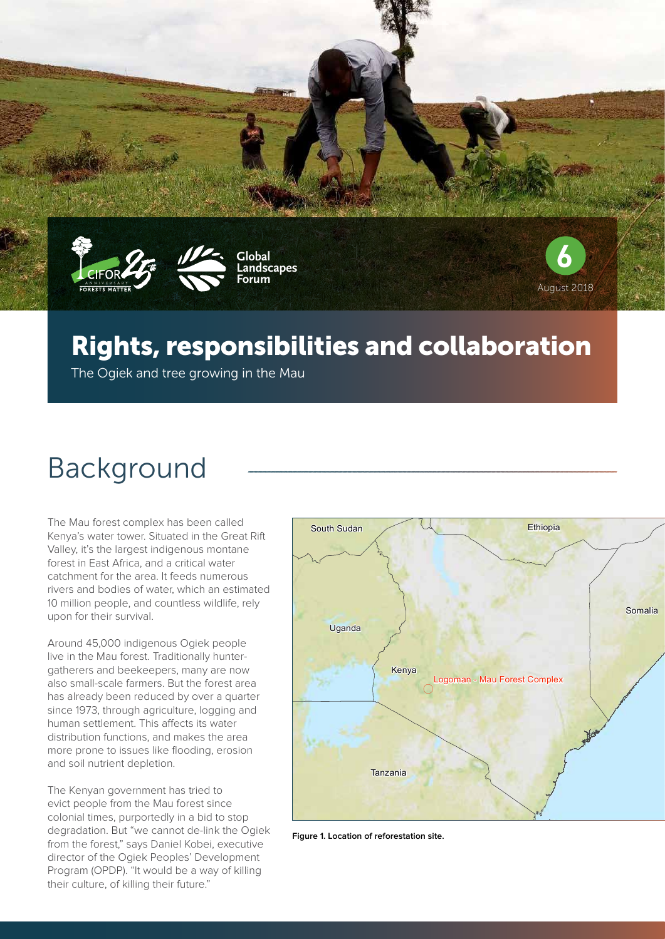



## Rights, responsibilities and collaboration

The Ogiek and tree growing in the Mau

# Background

The Mau forest complex has been called Kenya's water tower. Situated in the Great Rift Valley, it's the largest indigenous montane forest in East Africa, and a critical water catchment for the area. It feeds numerous rivers and bodies of water, which an estimated 10 million people, and countless wildlife, rely upon for their survival.

Around 45,000 indigenous Ogiek people live in the Mau forest. Traditionally huntergatherers and beekeepers, many are now also small-scale farmers. But the forest area has already been reduced by over a quarter since 1973, through agriculture, logging and human settlement. This affects its water distribution functions, and makes the area more prone to issues like flooding, erosion and soil nutrient depletion.

The Kenyan government has tried to evict people from the Mau forest since colonial times, purportedly in a bid to stop degradation. But "we cannot de-link the Ogiek from the forest," says Daniel Kobei, executive director of the Ogiek Peoples' Development Program (OPDP). "It would be a way of killing their culture, of killing their future."



**Figure 1. Location of reforestation site.**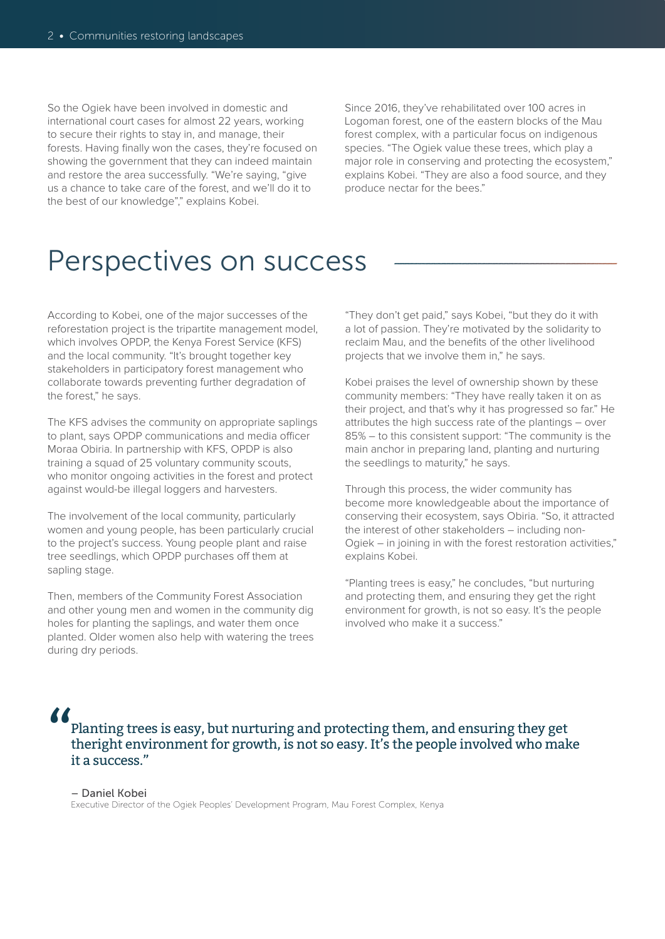So the Ogiek have been involved in domestic and international court cases for almost 22 years, working to secure their rights to stay in, and manage, their forests. Having finally won the cases, they're focused on showing the government that they can indeed maintain and restore the area successfully. "We're saying, "give us a chance to take care of the forest, and we'll do it to the best of our knowledge"," explains Kobei.

Since 2016, they've rehabilitated over 100 acres in Logoman forest, one of the eastern blocks of the Mau forest complex, with a particular focus on indigenous species. "The Ogiek value these trees, which play a major role in conserving and protecting the ecosystem," explains Kobei. "They are also a food source, and they produce nectar for the bees."

## Perspectives on success

According to Kobei, one of the major successes of the reforestation project is the tripartite management model, which involves OPDP, the Kenya Forest Service (KFS) and the local community. "It's brought together key stakeholders in participatory forest management who collaborate towards preventing further degradation of the forest," he says.

The KFS advises the community on appropriate saplings to plant, says OPDP communications and media officer Moraa Obiria. In partnership with KFS, OPDP is also training a squad of 25 voluntary community scouts, who monitor ongoing activities in the forest and protect against would-be illegal loggers and harvesters.

The involvement of the local community, particularly women and young people, has been particularly crucial to the project's success. Young people plant and raise tree seedlings, which OPDP purchases off them at sapling stage.

Then, members of the Community Forest Association and other young men and women in the community dig holes for planting the saplings, and water them once planted. Older women also help with watering the trees during dry periods.

"They don't get paid," says Kobei, "but they do it with a lot of passion. They're motivated by the solidarity to reclaim Mau, and the benefits of the other livelihood projects that we involve them in," he says.

Kobei praises the level of ownership shown by these community members: "They have really taken it on as their project, and that's why it has progressed so far." He attributes the high success rate of the plantings – over 85% – to this consistent support: "The community is the main anchor in preparing land, planting and nurturing the seedlings to maturity," he says.

Through this process, the wider community has become more knowledgeable about the importance of conserving their ecosystem, says Obiria. "So, it attracted the interest of other stakeholders – including non-Ogiek – in joining in with the forest restoration activities," explains Kobei.

"Planting trees is easy," he concludes, "but nurturing and protecting them, and ensuring they get the right environment for growth, is not so easy. It's the people involved who make it a success."

 $\frac{\delta}{\delta}$ 

Planting trees is easy, but nurturing and protecting them, and ensuring they get theright environment for growth, is not so easy. It's the people involved who make it a success."

– Daniel Kobei Executive Director of the Ogiek Peoples' Development Program, Mau Forest Complex, Kenya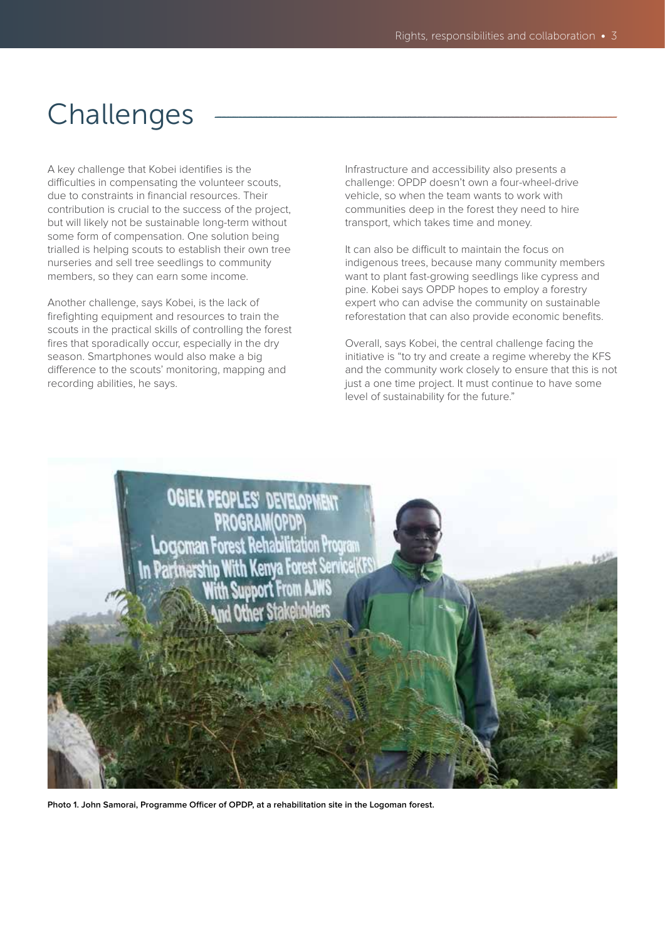# Challenges

A key challenge that Kobei identifies is the difficulties in compensating the volunteer scouts, due to constraints in financial resources. Their contribution is crucial to the success of the project, but will likely not be sustainable long-term without some form of compensation. One solution being trialled is helping scouts to establish their own tree nurseries and sell tree seedlings to community members, so they can earn some income.

Another challenge, says Kobei, is the lack of firefighting equipment and resources to train the scouts in the practical skills of controlling the forest fires that sporadically occur, especially in the dry season. Smartphones would also make a big difference to the scouts' monitoring, mapping and recording abilities, he says.

Infrastructure and accessibility also presents a challenge: OPDP doesn't own a four-wheel-drive vehicle, so when the team wants to work with communities deep in the forest they need to hire transport, which takes time and money.

It can also be difficult to maintain the focus on indigenous trees, because many community members want to plant fast-growing seedlings like cypress and pine. Kobei says OPDP hopes to employ a forestry expert who can advise the community on sustainable reforestation that can also provide economic benefits.

Overall, says Kobei, the central challenge facing the initiative is "to try and create a regime whereby the KFS and the community work closely to ensure that this is not just a one time project. It must continue to have some level of sustainability for the future."



**Photo 1. John Samorai, Programme Officer of OPDP, at a rehabilitation site in the Logoman forest.**